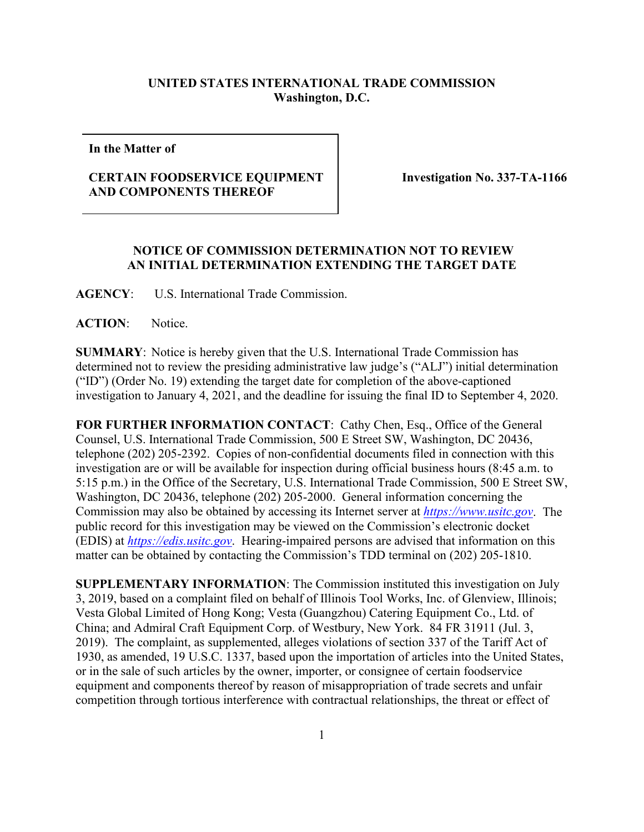## **UNITED STATES INTERNATIONAL TRADE COMMISSION Washington, D.C.**

**In the Matter of**

## **CERTAIN FOODSERVICE EQUIPMENT AND COMPONENTS THEREOF**

 **Investigation No. 337-TA-1166**

## **NOTICE OF COMMISSION DETERMINATION NOT TO REVIEW AN INITIAL DETERMINATION EXTENDING THE TARGET DATE**

**AGENCY**: U.S. International Trade Commission.

**ACTION**: Notice.

**SUMMARY**: Notice is hereby given that the U.S. International Trade Commission has determined not to review the presiding administrative law judge's ("ALJ") initial determination ("ID") (Order No. 19) extending the target date for completion of the above-captioned investigation to January 4, 2021, and the deadline for issuing the final ID to September 4, 2020.

FOR FURTHER INFORMATION CONTACT: Cathy Chen, Esq., Office of the General Counsel, U.S. International Trade Commission, 500 E Street SW, Washington, DC 20436, telephone (202) 205-2392. Copies of non-confidential documents filed in connection with this investigation are or will be available for inspection during official business hours (8:45 a.m. to 5:15 p.m.) in the Office of the Secretary, U.S. International Trade Commission, 500 E Street SW, Washington, DC 20436, telephone (202) 205-2000. General information concerning the Commission may also be obtained by accessing its Internet server at *[https://www.usitc.gov](https://www.usitc.gov/)*. The public record for this investigation may be viewed on the Commission's electronic docket (EDIS) at *[https://edis.usitc.gov](https://edis.usitc.gov/)*. Hearing-impaired persons are advised that information on this matter can be obtained by contacting the Commission's TDD terminal on (202) 205-1810.

**SUPPLEMENTARY INFORMATION**: The Commission instituted this investigation on July 3, 2019, based on a complaint filed on behalf of Illinois Tool Works, Inc. of Glenview, Illinois; Vesta Global Limited of Hong Kong; Vesta (Guangzhou) Catering Equipment Co., Ltd. of China; and Admiral Craft Equipment Corp. of Westbury, New York. 84 FR 31911 (Jul. 3, 2019). The complaint, as supplemented, alleges violations of section 337 of the Tariff Act of 1930, as amended, 19 U.S.C. 1337, based upon the importation of articles into the United States, or in the sale of such articles by the owner, importer, or consignee of certain foodservice equipment and components thereof by reason of misappropriation of trade secrets and unfair competition through tortious interference with contractual relationships, the threat or effect of